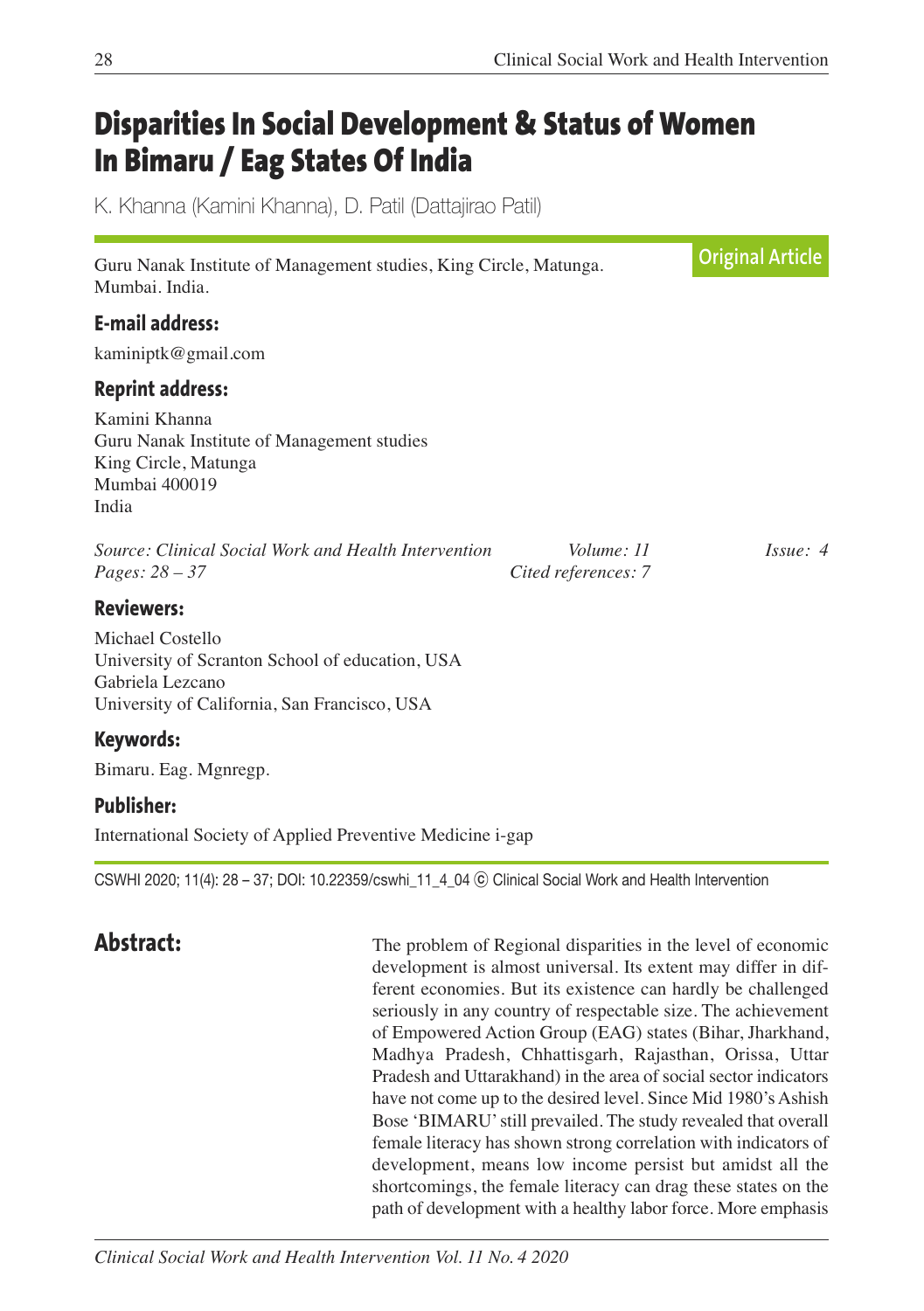# **Disparities In Social Development & Status of Women In Bimaru / Eag States Of India**

K. Khanna (Kamini Khanna), D. Patil (Dattajirao Patil)

| Guru Nanak Institute of Management studies, King Circle, Matunga.<br>Mumbai, India.                                                                          | <b>Original Article</b>           |               |
|--------------------------------------------------------------------------------------------------------------------------------------------------------------|-----------------------------------|---------------|
| <b>E-mail address:</b><br>kaminiptk@gmail.com                                                                                                                |                                   |               |
| <b>Reprint address:</b><br>Kamini Khanna<br>Guru Nanak Institute of Management studies<br>King Circle, Matunga<br>Mumbai 400019<br>India                     |                                   |               |
| Source: Clinical Social Work and Health Intervention<br><i>Pages:</i> $28 - 37$                                                                              | Volume: 11<br>Cited references: 7 | $I_{SS}ue: 4$ |
| <b>Reviewers:</b><br>Michael Costello<br>University of Scranton School of education, USA<br>Gabriela Lezcano<br>University of California, San Francisco, USA |                                   |               |
| Keywords:<br>Bimaru. Eag. Mgnregp.                                                                                                                           |                                   |               |

**Publisher:**

International Society of Applied Preventive Medicine i-gap

CSWHI 2020; 11(4): 28 – 37; DOI: 10.22359/cswhi\_11\_4\_04 ⓒ Clinical Social Work and Health Intervention

**Abstract:** The problem of Regional disparities in the level of economic development is almost universal. Its extent may differ in different economies. But its existence can hardly be challenged seriously in any country of respectable size. The achievement of Empowered Action Group (EAG) states (Bihar, Jharkhand, Madhya Pradesh, Chhattisgarh, Rajasthan, Orissa, Uttar Pradesh and Uttarakhand) in the area of social sector indicators have not come up to the desired level. Since Mid 1980's Ashish Bose 'BIMARU'still prevailed. The study revealed that overall female literacy has shown strong correlation with indicators of development, means low income persist but amidst all the shortcomings, the female literacy can drag these states on the path of development with a healthy labor force. More emphasis

*Clinical Social Work and Health Intervention Vol. 11 No. 4 2020*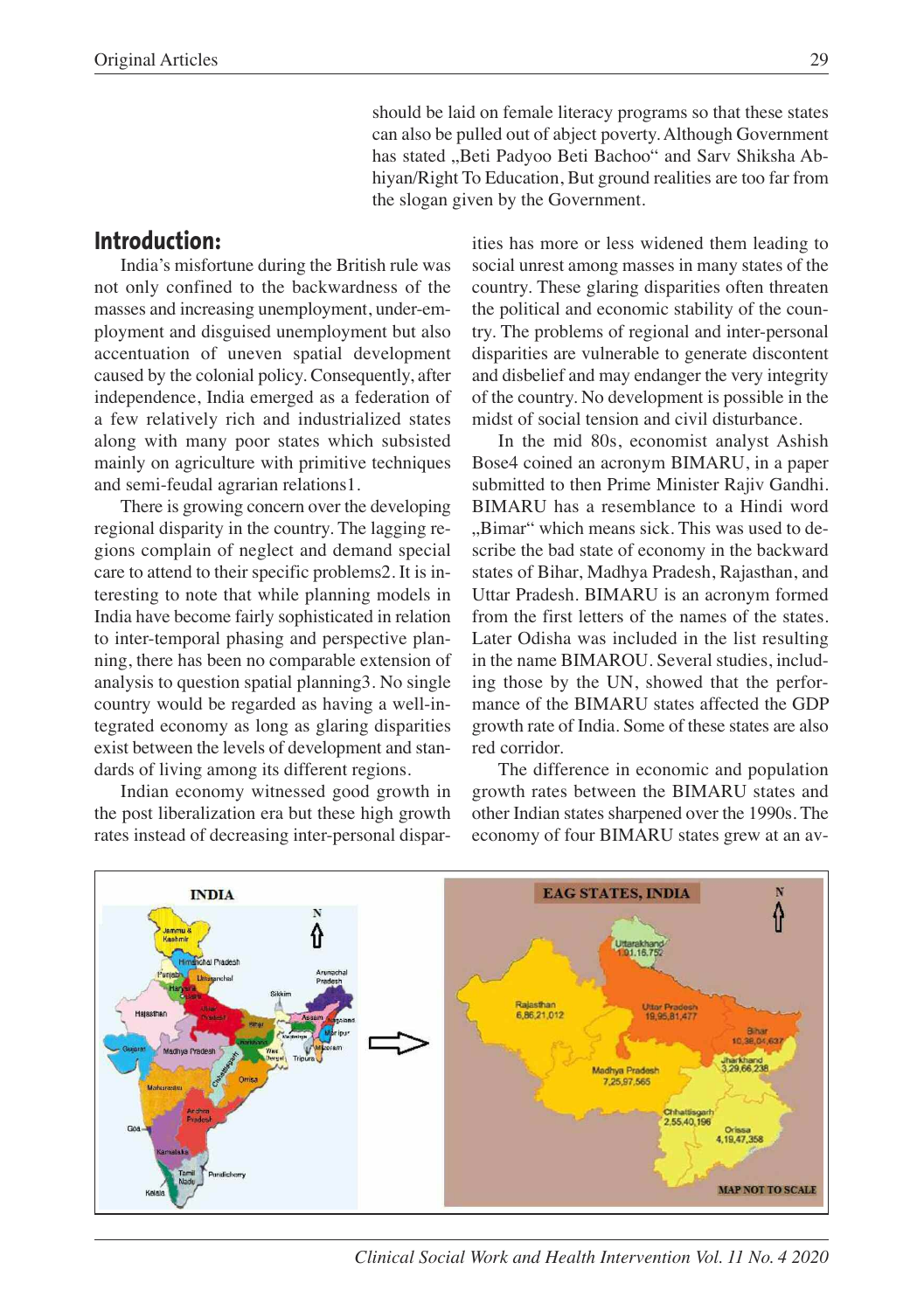should be laid on female literacy programs so that these states can also be pulled out of abject poverty. Although Government has stated "Beti Padyoo Beti Bachoo" and Sarv Shiksha Abhiyan/Right To Education, But ground realities are too far from the slogan given by the Government.

# **Introduction:**

India's misfortune during the British rule was not only confined to the backwardness of the masses and increasing unemployment, under-employment and disguised unemployment but also accentuation of uneven spatial development caused by the colonial policy. Consequently, after independence, India emerged as a federation of a few relatively rich and industrialized states along with many poor states which subsisted mainly on agriculture with primitive techniques and semi-feudal agrarian relations1.

There is growing concern over the developing regional disparity in the country. The lagging regions complain of neglect and demand special care to attend to their specific problems2. It is interesting to note that while planning models in India have become fairly sophisticated in relation to inter-temporal phasing and perspective planning, there has been no comparable extension of analysis to question spatial planning3. No single country would be regarded as having a well-integrated economy as long as glaring disparities exist between the levels of development and standards of living among its different regions.

Indian economy witnessed good growth in the post liberalization era but these high growth rates instead of decreasing inter-personal disparities has more or less widened them leading to social unrest among masses in many states of the country. These glaring disparities often threaten the political and economic stability of the country. The problems of regional and inter-personal disparities are vulnerable to generate discontent and disbelief and may endanger the very integrity of the country. No development is possible in the midst of social tension and civil disturbance.

In the mid 80s, economist analyst Ashish Bose4 coined an acronym BIMARU, in a paper submitted to then Prime Minister Rajiv Gandhi. BIMARU has a resemblance to a Hindi word ..Bimar" which means sick. This was used to describe the bad state of economy in the backward states of Bihar, Madhya Pradesh, Rajasthan, and Uttar Pradesh. BIMARU is an acronym formed from the first letters of the names of the states. Later Odisha was included in the list resulting in the name BIMAROU. Several studies, including those by the UN, showed that the performance of the BIMARU states affected the GDP growth rate of India. Some of these states are also red corridor.

The difference in economic and population growth rates between the BIMARU states and other Indian states sharpened over the 1990s. The economy of four BIMARU states grew at an av-



*Clinical Social Work and Health Intervention Vol. 11 No. 4 2020*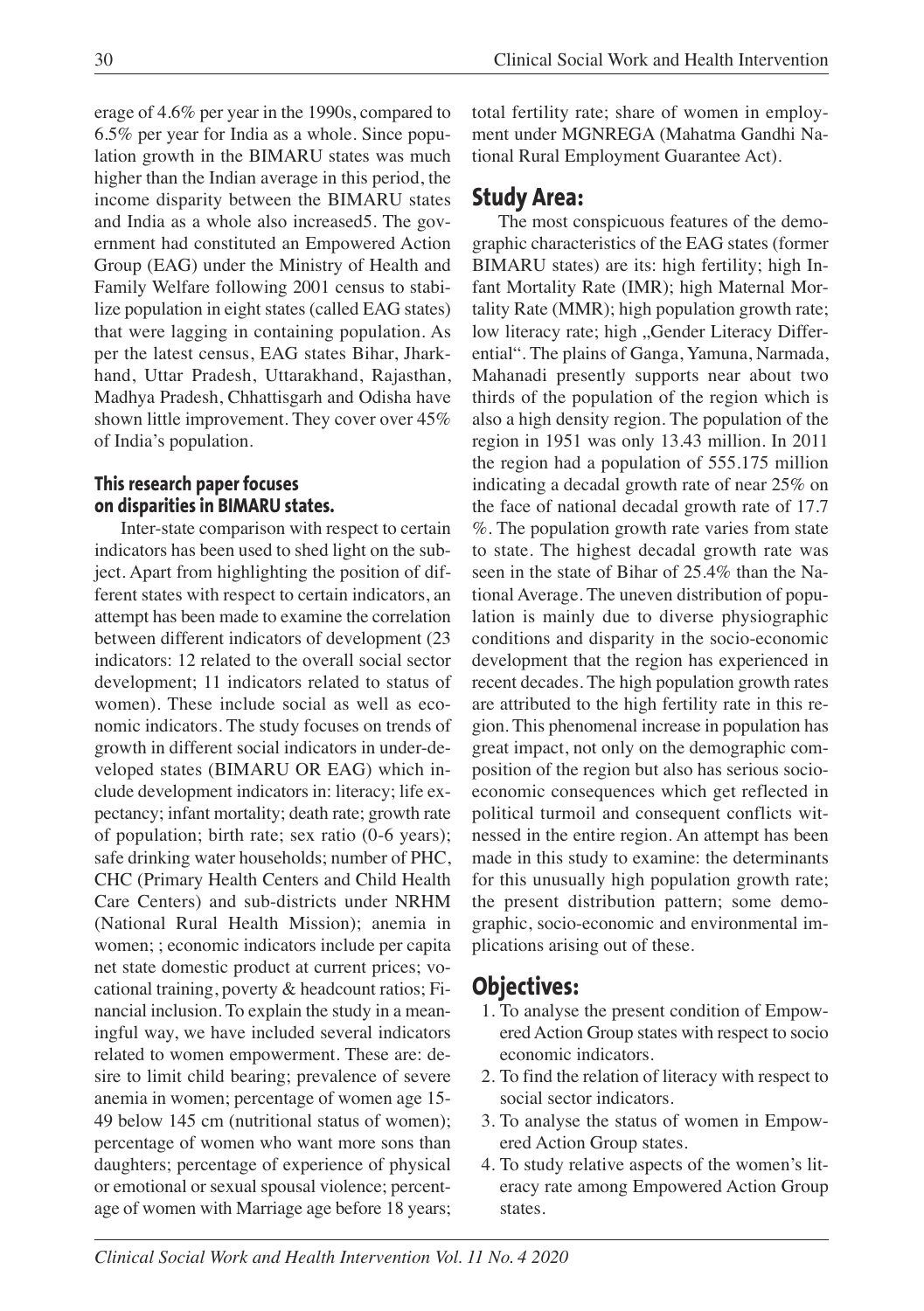erage of 4.6% per year in the 1990s, compared to 6.5% per year for India as a whole. Since population growth in the BIMARU states was much higher than the Indian average in this period, the income disparity between the BIMARU states and India as a whole also increased5. The government had constituted an Empowered Action Group (EAG) under the Ministry of Health and Family Welfare following 2001 census to stabilize population in eight states (called EAG states) that were lagging in containing population. As per the latest census, EAG states Bihar, Jharkhand, Uttar Pradesh, Uttarakhand, Rajasthan, Madhya Pradesh, Chhattisgarh and Odisha have shown little improvement. They cover over 45% of India's population.

#### **This research paper focuses on disparities in BIMARU states.**

Inter-state comparison with respect to certain indicators has been used to shed light on the subject. Apart from highlighting the position of different states with respect to certain indicators, an attempt has been made to examine the correlation between different indicators of development (23 indicators: 12 related to the overall social sector development; 11 indicators related to status of women). These include social as well as economic indicators. The study focuses on trends of growth in different social indicators in under-developed states (BIMARU OR EAG) which include development indicators in: literacy; life expectancy; infant mortality; death rate; growth rate of population; birth rate; sex ratio (0-6 years); safe drinking water households; number of PHC, CHC (Primary Health Centers and Child Health Care Centers) and sub-districts under NRHM (National Rural Health Mission); anemia in women; ; economic indicators include per capita net state domestic product at current prices; vocational training, poverty & headcount ratios; Financial inclusion. To explain the study in a meaningful way, we have included several indicators related to women empowerment. These are: desire to limit child bearing; prevalence of severe anemia in women; percentage of women age 15- 49 below 145 cm (nutritional status of women); percentage of women who want more sons than daughters; percentage of experience of physical or emotional or sexual spousal violence; percentage of women with Marriage age before 18 years;

total fertility rate; share of women in employment under MGNREGA (Mahatma Gandhi National Rural Employment Guarantee Act).

# **Study Area:**

The most conspicuous features of the demographic characteristics of the EAG states (former BIMARU states) are its: high fertility; high Infant Mortality Rate (IMR); high Maternal Mortality Rate (MMR); high population growth rate; low literacy rate; high "Gender Literacy Differential". The plains of Ganga, Yamuna, Narmada, Mahanadi presently supports near about two thirds of the population of the region which is also a high density region. The population of the region in 1951 was only 13.43 million. In 2011 the region had a population of 555.175 million indicating a decadal growth rate of near 25% on the face of national decadal growth rate of 17.7 %. The population growth rate varies from state to state. The highest decadal growth rate was seen in the state of Bihar of 25.4% than the National Average. The uneven distribution of population is mainly due to diverse physiographic conditions and disparity in the socio-economic development that the region has experienced in recent decades. The high population growth rates are attributed to the high fertility rate in this region. This phenomenal increase in population has great impact, not only on the demographic composition of the region but also has serious socioeconomic consequences which get reflected in political turmoil and consequent conflicts witnessed in the entire region. An attempt has been made in this study to examine: the determinants for this unusually high population growth rate; the present distribution pattern; some demographic, socio-economic and environmental implications arising out of these.

# **Objectives:**

- 1. To analyse the present condition of Empowered Action Group states with respect to socio economic indicators.
- 2. To find the relation of literacy with respect to social sector indicators.
- 3. To analyse the status of women in Empowered Action Group states.
- 4. To study relative aspects of the women's literacy rate among Empowered Action Group states.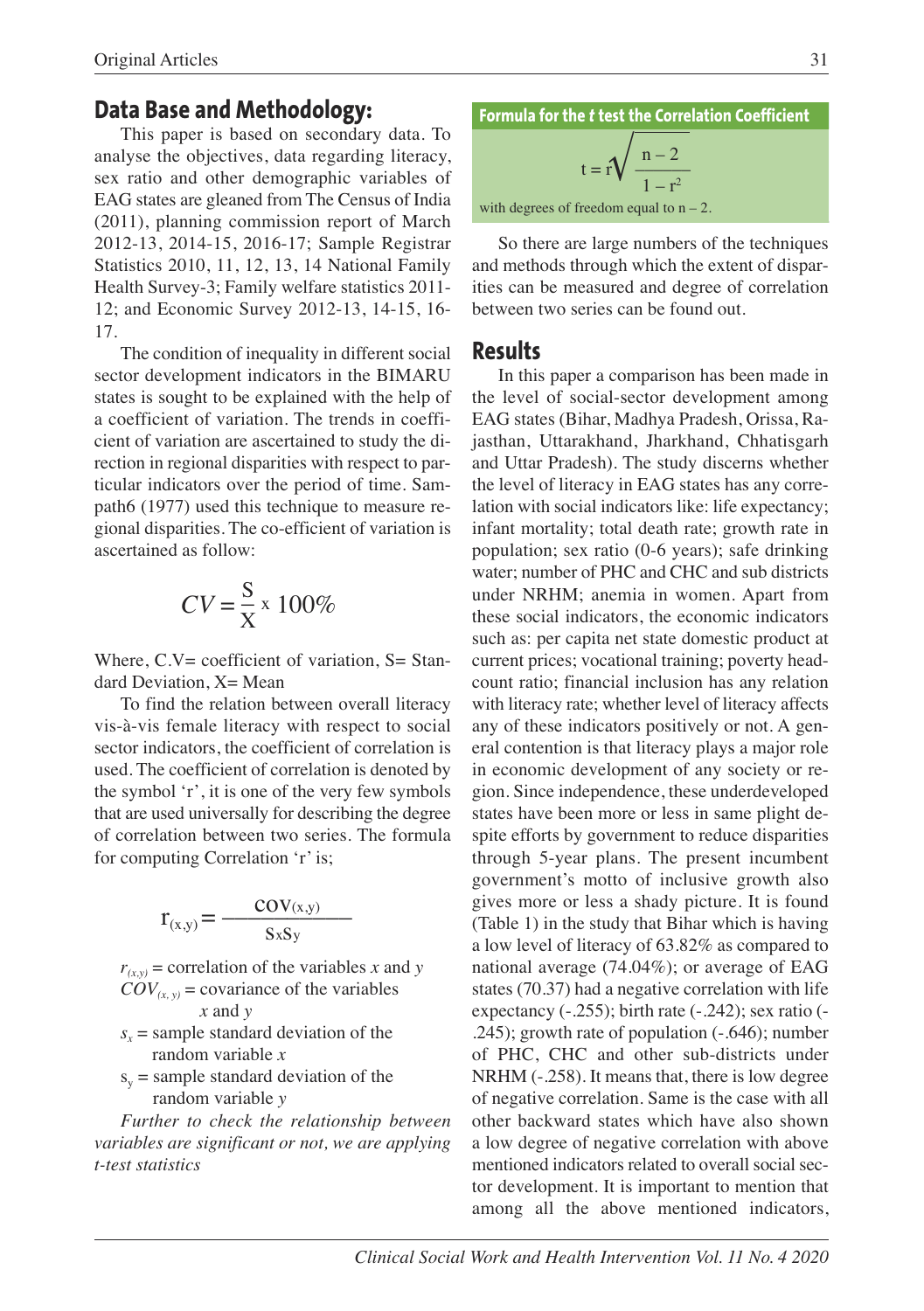#### **Data Base and Methodology:**

This paper is based on secondary data. To analyse the objectives, data regarding literacy, sex ratio and other demographic variables of EAG states are gleaned from The Census of India (2011), planning commission report of March 2012-13, 2014-15, 2016-17; Sample Registrar Statistics 2010, 11, 12, 13, 14 National Family Health Survey-3; Family welfare statistics 2011- 12; and Economic Survey 2012-13, 14-15, 16- 17.

The condition of inequality in different social sector development indicators in the BIMARU states is sought to be explained with the help of a coefficient of variation. The trends in coefficient of variation are ascertained to study the direction in regional disparities with respect to particular indicators over the period of time. Sampath6 (1977) used this technique to measure regional disparities. The co-efficient of variation is ascertained as follow:

$$
CV = \frac{S}{X} \times 100\%
$$

Where, C.V= coefficient of variation, S= Standard Deviation, X= Mean

To find the relation between overall literacy vis-à-vis female literacy with respect to social sector indicators, the coefficient of correlation is used. The coefficient of correlation is denoted by the symbol 'r', it is one of the very few symbols that are used universally for describing the degree of correlation between two series. The formula for computing Correlation 'r' is;

$$
r_{(x,y)} = \frac{cov_{(x,y)}}{s_x s_y}
$$

 $r_{(x,y)}$  = correlation of the variables *x* and *y*  $COV_{(x, y)}$  = covariance of the variables *x* and *y*

- $s<sub>x</sub>$  = sample standard deviation of the random variable *x*
- $s_y$  = sample standard deviation of the random variable *y*

*Further to check the relationship between variables are significant or not, we are applying t-test statistics*

**Formula for the** *t* **test the Correlation Coefficient**

$$
t = r \sqrt{\frac{n-2}{1-r^2}}
$$

with degrees of freedom equal to  $n - 2$ .

So there are large numbers of the techniques and methods through which the extent of disparities can be measured and degree of correlation between two series can be found out.

#### **Results**

In this paper a comparison has been made in the level of social-sector development among EAG states (Bihar, Madhya Pradesh, Orissa, Rajasthan, Uttarakhand, Jharkhand, Chhatisgarh and Uttar Pradesh). The study discerns whether the level of literacy in EAG states has any correlation with social indicators like: life expectancy; infant mortality; total death rate; growth rate in population; sex ratio (0-6 years); safe drinking water; number of PHC and CHC and sub districts under NRHM; anemia in women. Apart from these social indicators, the economic indicators such as: per capita net state domestic product at current prices; vocational training; poverty headcount ratio; financial inclusion has any relation with literacy rate; whether level of literacy affects any of these indicators positively or not. A general contention is that literacy plays a major role in economic development of any society or region. Since independence, these underdeveloped states have been more or less in same plight despite efforts by government to reduce disparities through 5-year plans. The present incumbent government's motto of inclusive growth also gives more or less a shady picture. It is found (Table 1) in the study that Bihar which is having a low level of literacy of 63.82% as compared to national average (74.04%); or average of EAG states (70.37) had a negative correlation with life expectancy (-.255); birth rate (-.242); sex ratio (-.245); growth rate of population (-.646); number of PHC, CHC and other sub-districts under NRHM (-.258). It means that, there is low degree of negative correlation. Same is the case with all other backward states which have also shown a low degree of negative correlation with above mentioned indicators related to overall social sector development. It is important to mention that among all the above mentioned indicators,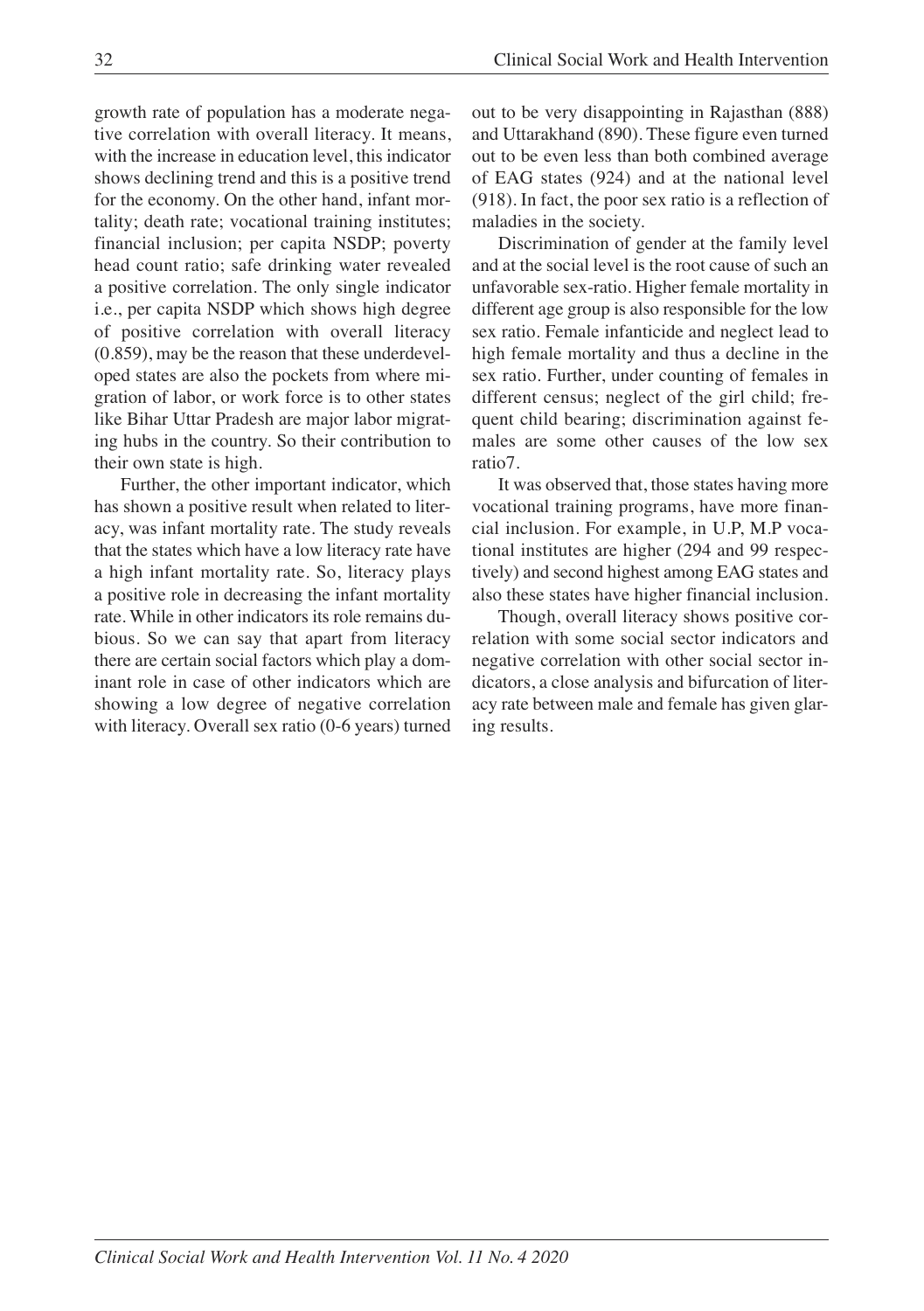growth rate of population has a moderate negative correlation with overall literacy. It means, with the increase in education level, this indicator shows declining trend and this is a positive trend for the economy. On the other hand, infant mortality; death rate; vocational training institutes; financial inclusion; per capita NSDP; poverty head count ratio; safe drinking water revealed a positive correlation. The only single indicator i.e., per capita NSDP which shows high degree of positive correlation with overall literacy (0.859), may be the reason that these underdeveloped states are also the pockets from where migration of labor, or work force is to other states like Bihar Uttar Pradesh are major labor migrating hubs in the country. So their contribution to their own state is high.

Further, the other important indicator, which has shown a positive result when related to literacy, was infant mortality rate. The study reveals that the states which have a low literacy rate have a high infant mortality rate. So, literacy plays a positive role in decreasing the infant mortality rate. While in other indicators its role remains dubious. So we can say that apart from literacy there are certain social factors which play a dominant role in case of other indicators which are showing a low degree of negative correlation with literacy. Overall sex ratio (0-6 years) turned

out to be very disappointing in Rajasthan (888) and Uttarakhand (890). These figure even turned out to be even less than both combined average of EAG states (924) and at the national level (918). In fact, the poor sex ratio is a reflection of maladies in the society.

Discrimination of gender at the family level and at the social level is the root cause of such an unfavorable sex-ratio. Higher female mortality in different age group is also responsible for the low sex ratio. Female infanticide and neglect lead to high female mortality and thus a decline in the sex ratio. Further, under counting of females in different census; neglect of the girl child; frequent child bearing; discrimination against females are some other causes of the low sex ratio7.

It was observed that, those states having more vocational training programs, have more financial inclusion. For example, in U.P, M.P vocational institutes are higher (294 and 99 respectively) and second highest among EAG states and also these states have higher financial inclusion.

Though, overall literacy shows positive correlation with some social sector indicators and negative correlation with other social sector indicators, a close analysis and bifurcation of literacy rate between male and female has given glaring results.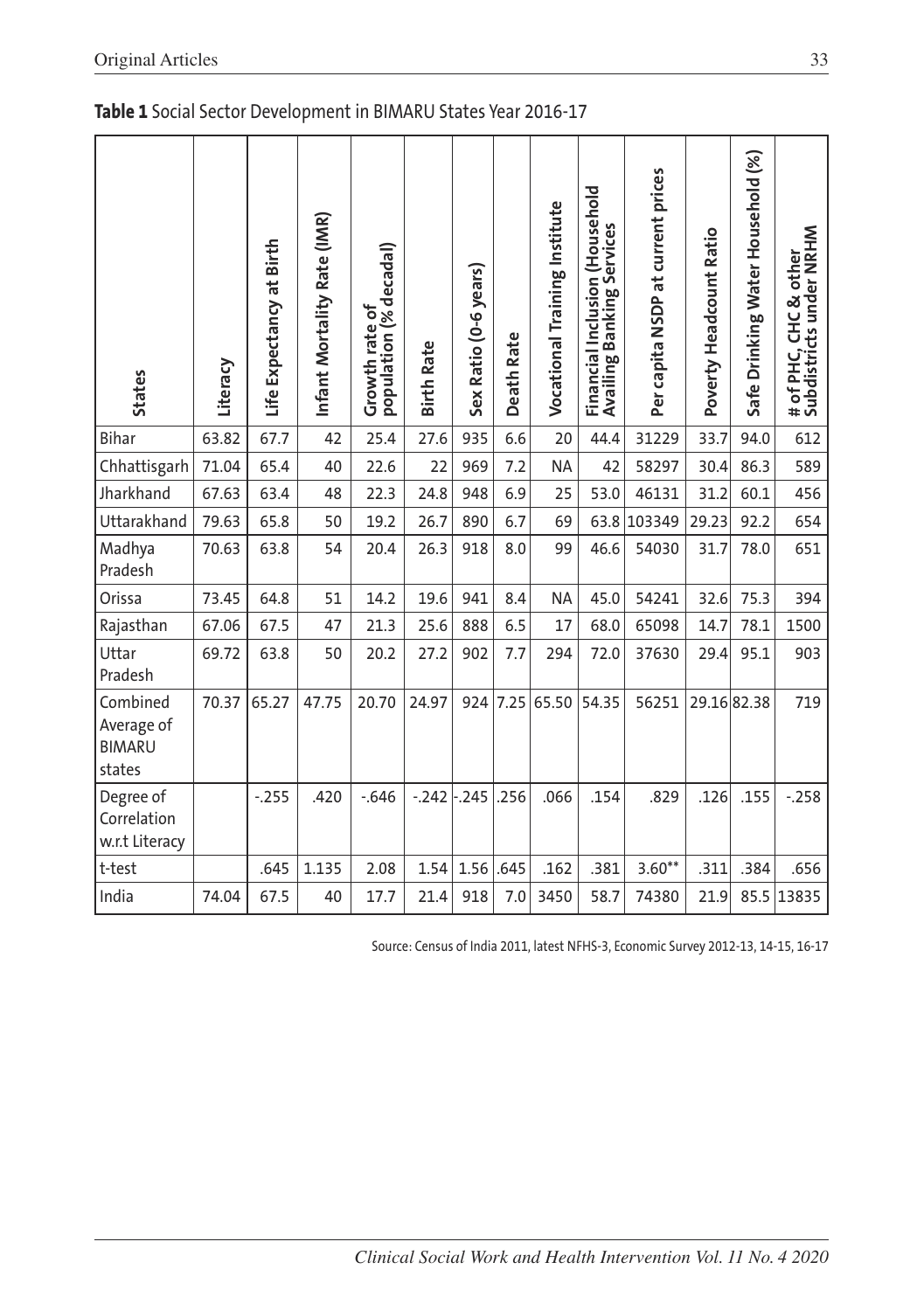| <b>States</b>                                     | Literacy | Life Expectancy at Birth | Infant Mortality Rate (IMR) | population (% decadal)<br>Growth rate of | <b>Birth Rate</b> | Sex Ratio (0-6 years) | <b>Death Rate</b> | Vocational Training Institute | Financial Inclusion (Household<br>Availing Banking Services | Per capita NSDP at current prices | Poverty Headcount Ratio | Safe Drinking Water Household (%) | # of PHC, CHC & other<br>Subdistricts under NRHM |
|---------------------------------------------------|----------|--------------------------|-----------------------------|------------------------------------------|-------------------|-----------------------|-------------------|-------------------------------|-------------------------------------------------------------|-----------------------------------|-------------------------|-----------------------------------|--------------------------------------------------|
| <b>Bihar</b>                                      | 63.82    | 67.7                     | 42                          | 25.4                                     | 27.6              | 935                   | 6.6               | 20                            | 44.4                                                        | 31229                             | 33.7                    | 94.0                              | 612                                              |
| Chhattisgarh                                      | 71.04    | 65.4                     | 40                          | 22.6                                     | 22                | 969                   | 7.2               | <b>NA</b>                     | 42                                                          | 58297                             | 30.4                    | 86.3                              | 589                                              |
| Jharkhand                                         | 67.63    | 63.4                     | 48                          | 22.3                                     | 24.8              | 948                   | 6.9               | 25                            | 53.0                                                        | 46131                             | 31.2                    | 60.1                              | 456                                              |
| Uttarakhand                                       | 79.63    | 65.8                     | 50                          | 19.2                                     | 26.7              | 890                   | 6.7               | 69                            | 63.8                                                        | 103349                            | 29.23                   | 92.2                              | 654                                              |
| Madhya<br>Pradesh                                 | 70.63    | 63.8                     | 54                          | 20.4                                     | 26.3              | 918                   | 8.0               | 99                            | 46.6                                                        | 54030                             | 31.7                    | 78.0                              | 651                                              |
| Orissa                                            | 73.45    | 64.8                     | 51                          | 14.2                                     | 19.6              | 941                   | 8.4               | <b>NA</b>                     | 45.0                                                        | 54241                             | 32.6                    | 75.3                              | 394                                              |
| Rajasthan                                         | 67.06    | 67.5                     | 47                          | 21.3                                     | 25.6              | 888                   | 6.5               | 17                            | 68.0                                                        | 65098                             | 14.7                    | 78.1                              | 1500                                             |
| Uttar<br>Pradesh                                  | 69.72    | 63.8                     | 50                          | 20.2                                     | 27.2              | 902                   | 7.7               | 294                           | 72.0                                                        | 37630                             | 29.4                    | 95.1                              | 903                                              |
| Combined<br>Average of<br><b>BIMARU</b><br>states | 70.37    | 65.27                    | 47.75                       | 20.70                                    | 24.97             | 924                   | 7.25              | 65.50                         | 54.35                                                       | 56251                             | 29.1682.38              |                                   | 719                                              |
| Degree of<br>Correlation<br>w.r.t Literacy        |          | $-255$                   | .420                        | $-0.646$                                 | $-242$            | $-245$                | .256              | .066                          | .154                                                        | .829                              | .126                    | .155                              | $-0.258$                                         |
| t-test                                            |          | .645                     | 1.135                       | 2.08                                     | 1.54              | 1.56                  | .645              | .162                          | .381                                                        | $3.60**$                          | .311                    | .384                              | .656                                             |
| India                                             | 74.04    | 67.5                     | 40                          | 17.7                                     | 21.4              | 918                   | 7.0               | 3450                          | 58.7                                                        | 74380                             | 21.9                    | 85.5                              | 13835                                            |

Source: Census of India 2011, latest NFHS-3, Economic Survey 2012-13, 14-15, 16-17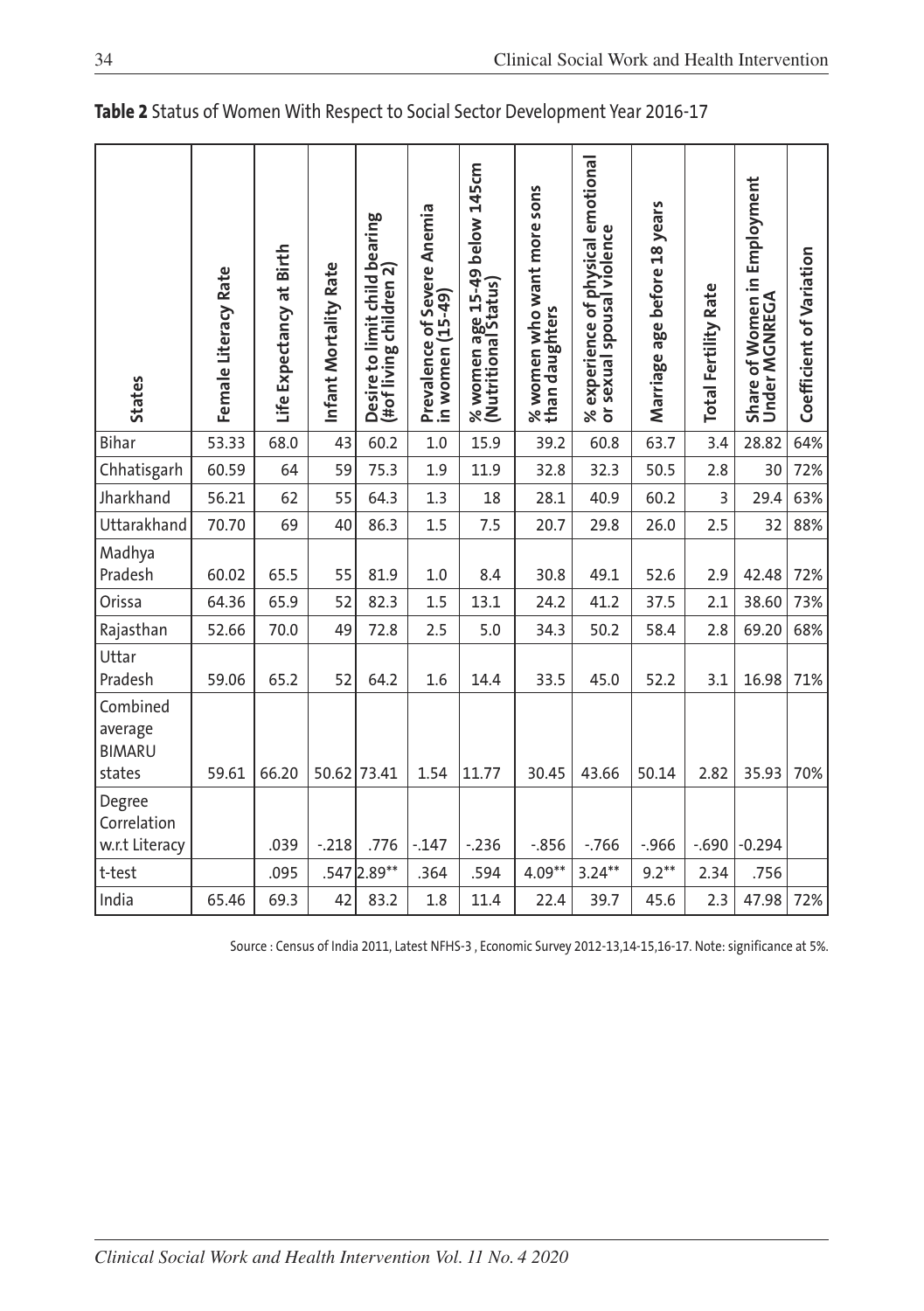| <b>States</b>                                  | Female Literacy Rate | Life Expectancy at Birth | Infant Mortality Rate | Desire to limit child bearing<br>(#of living children 2) | Prevalence of Severe Anemia<br>in women (15-49) | % women age 15-49 below 145cm<br>(Nutritional Status) | % women who want more sons<br>than daughters | % experience of physical emotional<br>or sexual spousal violence | Marriage age before 18 years | <b>Total Fertility Rate</b> | Share of Women in Employment<br>Under MGNREGA | Coefficient of Variation |
|------------------------------------------------|----------------------|--------------------------|-----------------------|----------------------------------------------------------|-------------------------------------------------|-------------------------------------------------------|----------------------------------------------|------------------------------------------------------------------|------------------------------|-----------------------------|-----------------------------------------------|--------------------------|
| Bihar                                          | 53.33                | 68.0                     | 43                    | 60.2                                                     | 1.0                                             | 15.9                                                  | 39.2                                         | 60.8                                                             | 63.7                         | 3.4                         | 28.82                                         | 64%                      |
| Chhatisgarh                                    | 60.59                | 64                       | 59                    | 75.3                                                     | 1.9                                             | 11.9                                                  | 32.8                                         | 32.3                                                             | 50.5                         | 2.8                         | 30                                            | 72%                      |
| Jharkhand                                      | 56.21                | 62                       | 55                    | 64.3                                                     | 1.3                                             | 18                                                    | 28.1                                         | 40.9                                                             | 60.2                         | 3                           | 29.4                                          | 63%                      |
| Uttarakhand                                    | 70.70                | 69                       | 40                    | 86.3                                                     | 1.5                                             | 7.5                                                   | 20.7                                         | 29.8                                                             | 26.0                         | 2.5                         | 32                                            | 88%                      |
| Madhya<br>Pradesh                              | 60.02                | 65.5                     | 55                    | 81.9                                                     | 1.0                                             | 8.4                                                   | 30.8                                         | 49.1                                                             | 52.6                         | 2.9                         | 42.48                                         | 72%                      |
| Orissa                                         | 64.36                | 65.9                     | 52                    | 82.3                                                     | 1.5                                             | 13.1                                                  | 24.2                                         | 41.2                                                             | 37.5                         | 2.1                         | 38.60                                         | 73%                      |
| Rajasthan                                      | 52.66                | 70.0                     | 49                    | 72.8                                                     | 2.5                                             | 5.0                                                   | 34.3                                         | 50.2                                                             | 58.4                         | 2.8                         | 69.20                                         | 68%                      |
| Uttar<br>Pradesh                               | 59.06                | 65.2                     | 52                    | 64.2                                                     | 1.6                                             | 14.4                                                  | 33.5                                         | 45.0                                                             | 52.2                         | 3.1                         | 16.98                                         | 71%                      |
| Combined<br>average<br><b>BIMARU</b><br>states | 59.61                | 66.20                    |                       | 50.62 73.41                                              | 1.54                                            | 11.77                                                 | 30.45                                        | 43.66                                                            | 50.14                        | 2.82                        | 35.93                                         | 70%                      |
| Degree<br>Correlation<br>w.r.t Literacy        |                      | .039                     | $-.218$               | .776                                                     | $-147$                                          | $-236$                                                | $-0.856$                                     | $-766$                                                           | $-.966$                      | $-0.690$                    | $-0.294$                                      |                          |
| t-test                                         |                      | .095                     |                       | .547 2.89**                                              | .364                                            | .594                                                  | $4.09**$                                     | $3.24***$                                                        | $9.2***$                     | 2.34                        | .756                                          |                          |
| India                                          | 65.46                | 69.3                     | 42                    | 83.2                                                     | 1.8                                             | 11.4                                                  | 22.4                                         | 39.7                                                             | 45.6                         | 2.3                         | 47.98                                         | 72%                      |

**Table 2** Status of Women With Respect to Social Sector Development Year 2016-17

Source : Census of India 2011, Latest NFHS-3 , Economic Survey 2012-13,14-15,16-17. Note: significance at 5%.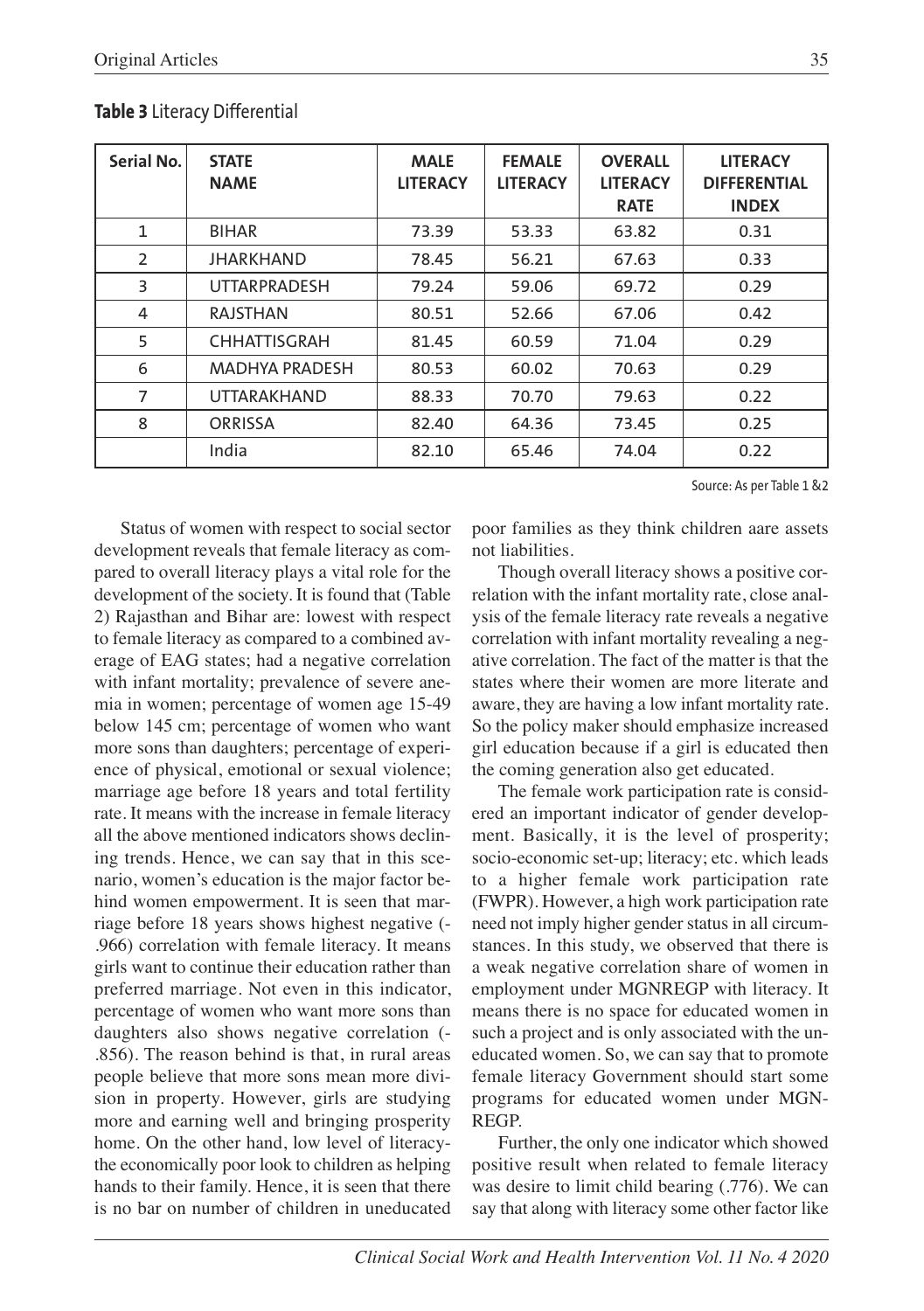| Serial No.     | <b>STATE</b><br><b>NAME</b> | <b>MALE</b><br><b>LITERACY</b> | <b>FEMALE</b><br><b>LITERACY</b> | <b>OVERALL</b><br><b>LITERACY</b><br><b>RATE</b> | <b>LITERACY</b><br><b>DIFFERENTIAL</b><br><b>INDEX</b> |
|----------------|-----------------------------|--------------------------------|----------------------------------|--------------------------------------------------|--------------------------------------------------------|
| $\mathbf{1}$   | <b>BIHAR</b>                | 73.39                          | 53.33                            | 63.82                                            | 0.31                                                   |
| 2              | <b>JHARKHAND</b>            | 78.45                          | 56.21                            | 67.63                                            | 0.33                                                   |
| 3              | <b>UTTARPRADESH</b>         | 79.24                          | 59.06                            | 69.72                                            | 0.29                                                   |
| 4              | <b>RAJSTHAN</b>             | 80.51                          | 52.66                            | 67.06                                            | 0.42                                                   |
| 5              | <b>CHHATTISGRAH</b>         | 81.45                          | 60.59                            | 71.04                                            | 0.29                                                   |
| 6              | <b>MADHYA PRADESH</b>       | 80.53                          | 60.02                            | 70.63                                            | 0.29                                                   |
| $\overline{7}$ | <b>UTTARAKHAND</b>          | 88.33                          | 70.70                            | 79.63                                            | 0.22                                                   |
| 8              | <b>ORRISSA</b>              | 82.40                          | 64.36                            | 73.45                                            | 0.25                                                   |
|                | India                       | 82.10                          | 65.46                            | 74.04                                            | 0.22                                                   |

#### **Table 3** Literacy Differential

Source: As per Table 1 &2

Status of women with respect to social sector development reveals that female literacy as compared to overall literacy plays a vital role for the development of the society. It is found that (Table 2) Rajasthan and Bihar are: lowest with respect to female literacy as compared to a combined average of EAG states; had a negative correlation with infant mortality; prevalence of severe anemia in women; percentage of women age 15-49 below 145 cm; percentage of women who want more sons than daughters; percentage of experience of physical, emotional or sexual violence; marriage age before 18 years and total fertility rate. It means with the increase in female literacy all the above mentioned indicators shows declining trends. Hence, we can say that in this scenario, women's education is the major factor behind women empowerment. It is seen that marriage before 18 years shows highest negative (- .966) correlation with female literacy. It means girls want to continue their education rather than preferred marriage. Not even in this indicator, percentage of women who want more sons than daughters also shows negative correlation (- .856). The reason behind is that, in rural areas people believe that more sons mean more division in property. However, girls are studying more and earning well and bringing prosperity home. On the other hand, low level of literacythe economically poor look to children as helping hands to their family. Hence, it is seen that there is no bar on number of children in uneducated

poor families as they think children aare assets not liabilities.

Though overall literacy shows a positive correlation with the infant mortality rate, close analysis of the female literacy rate reveals a negative correlation with infant mortality revealing a negative correlation. The fact of the matter is that the states where their women are more literate and aware, they are having a low infant mortality rate. So the policy maker should emphasize increased girl education because if a girl is educated then the coming generation also get educated.

The female work participation rate is considered an important indicator of gender development. Basically, it is the level of prosperity; socio-economic set-up; literacy; etc. which leads to a higher female work participation rate (FWPR). However, a high work participation rate need not imply higher gender status in all circumstances. In this study, we observed that there is a weak negative correlation share of women in employment under MGNREGP with literacy. It means there is no space for educated women in such a project and is only associated with the uneducated women. So, we can say that to promote female literacy Government should start some programs for educated women under MGN-REGP.

Further, the only one indicator which showed positive result when related to female literacy was desire to limit child bearing (.776). We can say that along with literacy some other factor like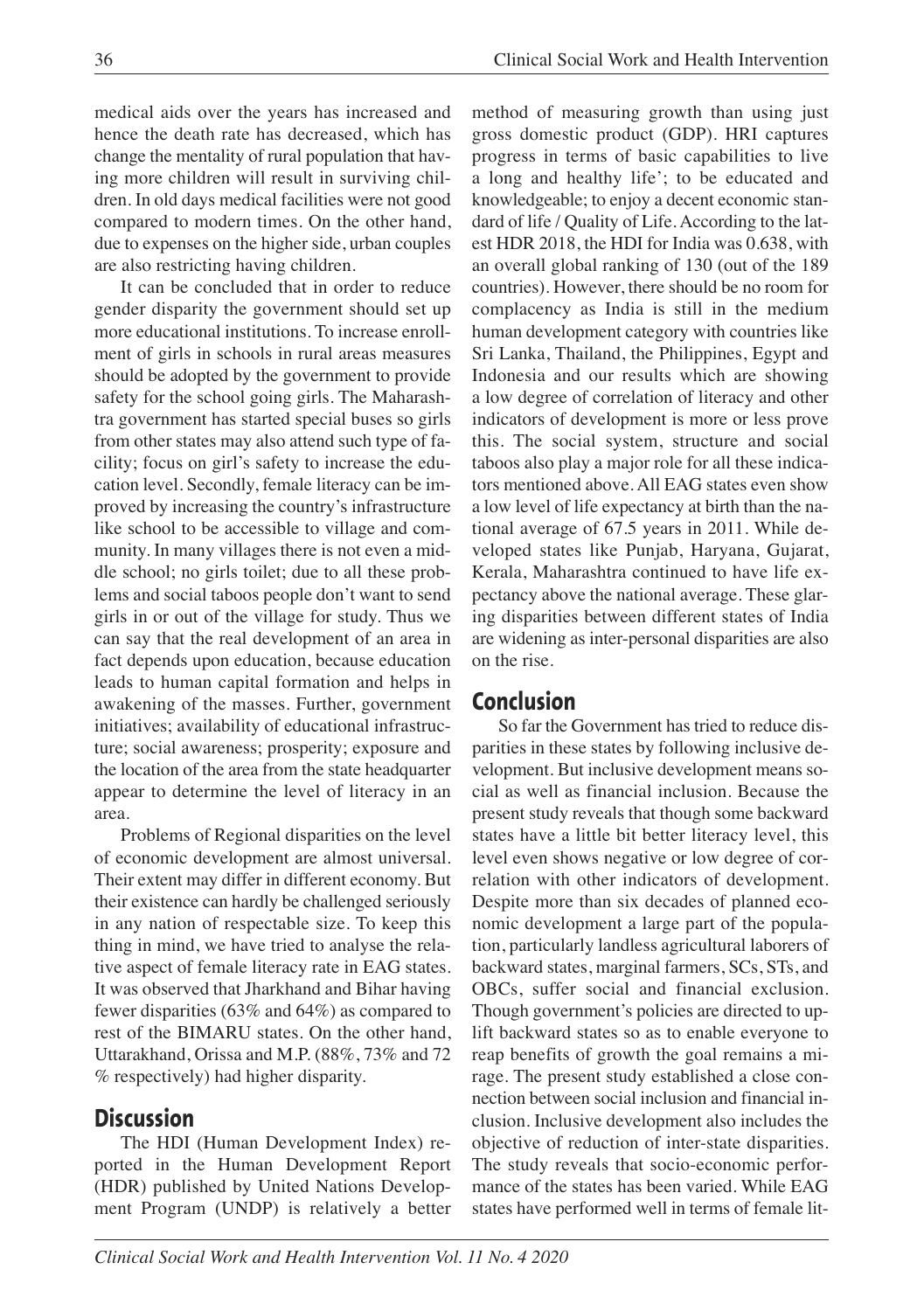medical aids over the years has increased and hence the death rate has decreased, which has change the mentality of rural population that having more children will result in surviving children. In old days medical facilities were not good compared to modern times. On the other hand, due to expenses on the higher side, urban couples are also restricting having children.

It can be concluded that in order to reduce gender disparity the government should set up more educational institutions. To increase enrollment of girls in schools in rural areas measures should be adopted by the government to provide safety for the school going girls. The Maharashtra government has started special buses so girls from other states may also attend such type of facility; focus on girl's safety to increase the education level. Secondly, female literacy can be improved by increasing the country's infrastructure like school to be accessible to village and community. In many villages there is not even a middle school; no girls toilet; due to all these problems and social taboos people don't want to send girls in or out of the village for study. Thus we can say that the real development of an area in fact depends upon education, because education leads to human capital formation and helps in awakening of the masses. Further, government initiatives; availability of educational infrastructure; social awareness; prosperity; exposure and the location of the area from the state headquarter appear to determine the level of literacy in an area.

Problems of Regional disparities on the level of economic development are almost universal. Their extent may differ in different economy. But their existence can hardly be challenged seriously in any nation of respectable size. To keep this thing in mind, we have tried to analyse the relative aspect of female literacy rate in EAG states. It was observed that Jharkhand and Bihar having fewer disparities (63% and 64%) as compared to rest of the BIMARU states. On the other hand, Uttarakhand, Orissa and M.P. (88%, 73% and 72 % respectively) had higher disparity.

# **Discussion**

The HDI (Human Development Index) reported in the Human Development Report (HDR) published by United Nations Development Program (UNDP) is relatively a better method of measuring growth than using just gross domestic product (GDP). HRI captures progress in terms of basic capabilities to live a long and healthy life'; to be educated and knowledgeable; to enjoy a decent economic standard of life / Quality of Life. According to the latest HDR 2018, the HDI for India was 0.638, with an overall global ranking of 130 (out of the 189 countries). However, there should be no room for complacency as India is still in the medium human development category with countries like Sri Lanka, Thailand, the Philippines, Egypt and Indonesia and our results which are showing a low degree of correlation of literacy and other indicators of development is more or less prove this. The social system, structure and social taboos also play a major role for all these indicators mentioned above. All EAG states even show a low level of life expectancy at birth than the national average of 67.5 years in 2011. While developed states like Punjab, Haryana, Gujarat, Kerala, Maharashtra continued to have life expectancy above the national average. These glaring disparities between different states of India are widening as inter-personal disparities are also on the rise.

# **Conclusion**

So far the Government has tried to reduce disparities in these states by following inclusive development. But inclusive development means social as well as financial inclusion. Because the present study reveals that though some backward states have a little bit better literacy level, this level even shows negative or low degree of correlation with other indicators of development. Despite more than six decades of planned economic development a large part of the population, particularly landless agricultural laborers of backward states, marginal farmers, SCs, STs, and OBCs, suffer social and financial exclusion. Though government's policies are directed to uplift backward states so as to enable everyone to reap benefits of growth the goal remains a mirage. The present study established a close connection between social inclusion and financial inclusion. Inclusive development also includes the objective of reduction of inter-state disparities. The study reveals that socio-economic performance of the states has been varied. While EAG states have performed well in terms of female lit